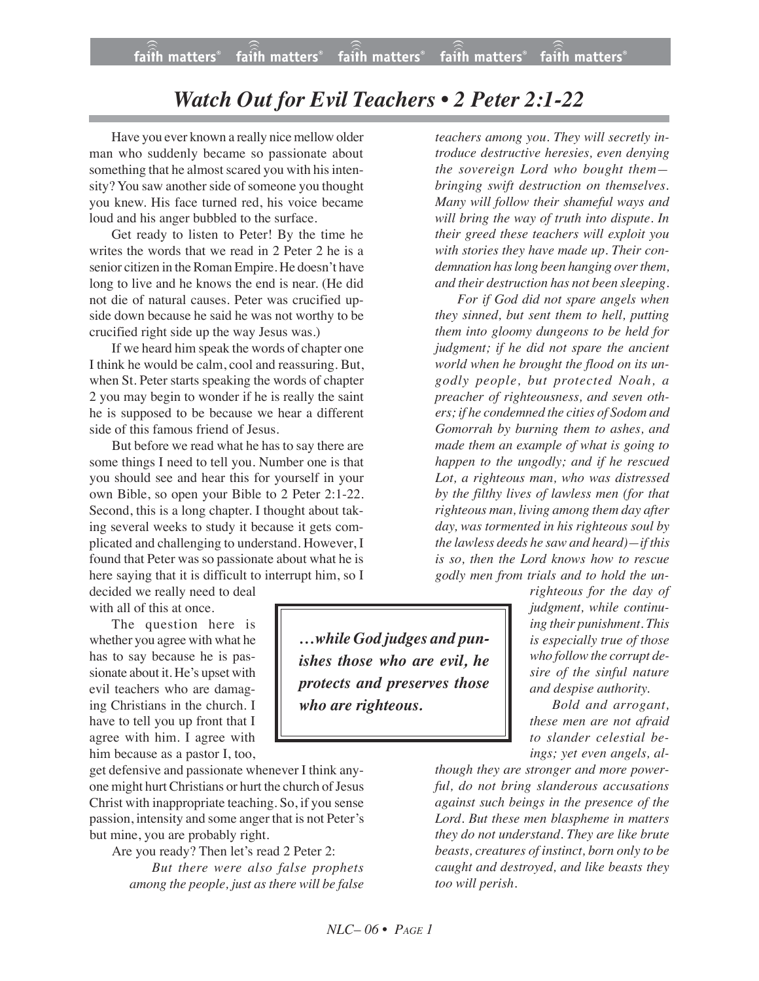## *Watch Out for Evil Teachers • 2 Peter 2:1-22*

Have you ever known a really nice mellow older man who suddenly became so passionate about something that he almost scared you with his intensity? You saw another side of someone you thought you knew. His face turned red, his voice became loud and his anger bubbled to the surface.

Get ready to listen to Peter! By the time he writes the words that we read in 2 Peter 2 he is a senior citizen in the Roman Empire. He doesn't have long to live and he knows the end is near. (He did not die of natural causes. Peter was crucified upside down because he said he was not worthy to be crucified right side up the way Jesus was.)

If we heard him speak the words of chapter one I think he would be calm, cool and reassuring. But, when St. Peter starts speaking the words of chapter 2 you may begin to wonder if he is really the saint he is supposed to be because we hear a different side of this famous friend of Jesus.

But before we read what he has to say there are some things I need to tell you. Number one is that you should see and hear this for yourself in your own Bible, so open your Bible to 2 Peter 2:1-22. Second, this is a long chapter. I thought about taking several weeks to study it because it gets complicated and challenging to understand. However, I found that Peter was so passionate about what he is here saying that it is difficult to interrupt him, so I

decided we really need to deal with all of this at once.

The question here is whether you agree with what he has to say because he is passionate about it. He's upset with evil teachers who are damaging Christians in the church. I have to tell you up front that I agree with him. I agree with him because as a pastor I, too,

get defensive and passionate whenever I think anyone might hurt Christians or hurt the church of Jesus Christ with inappropriate teaching. So, if you sense passion, intensity and some anger that is not Peter's but mine, you are probably right.

Are you ready? Then let's read 2 Peter 2: *But there were also false prophets*

*among the people, just as there will be false*

*teachers among you. They will secretly introduce destructive heresies, even denying the sovereign Lord who bought them bringing swift destruction on themselves. Many will follow their shameful ways and will bring the way of truth into dispute. In their greed these teachers will exploit you with stories they have made up. Their condemnation haslong been hanging overthem, and their destruction has not been sleeping.*

*For if God did not spare angels when they sinned, but sent them to hell, putting them into gloomy dungeons to be held for judgment; if he did not spare the ancient world when he brought the flood on its ungodly people, but protected Noah, a preacher of righteousness, and seven others; if he condemned the cities of Sodom and Gomorrah by burning them to ashes, and made them an example of what is going to happen to the ungodly; and if he rescued Lot, a righteous man, who was distressed by the filthy lives of lawless men (for that righteous man, living among them day after day, was tormented in his righteous soul by the lawless deeds he saw and heard)—if this is so, then the Lord knows how to rescue godly men from trials and to hold the un-*

*…while God judges and punishes those who are evil, he protects and preserves those who are righteous.*

*righteous for the day of judgment, while continuing their punishment. This is especially true of those who follow the corrupt desire of the sinful nature and despise authority.*

*Bold and arrogant, these men are not afraid to slander celestial beings; yet even angels, al-*

*though they are stronger and more powerful, do not bring slanderous accusations against such beings in the presence of the Lord. But these men blaspheme in matters they do not understand. They are like brute beasts, creatures of instinct, born only to be caught and destroyed, and like beasts they too will perish.*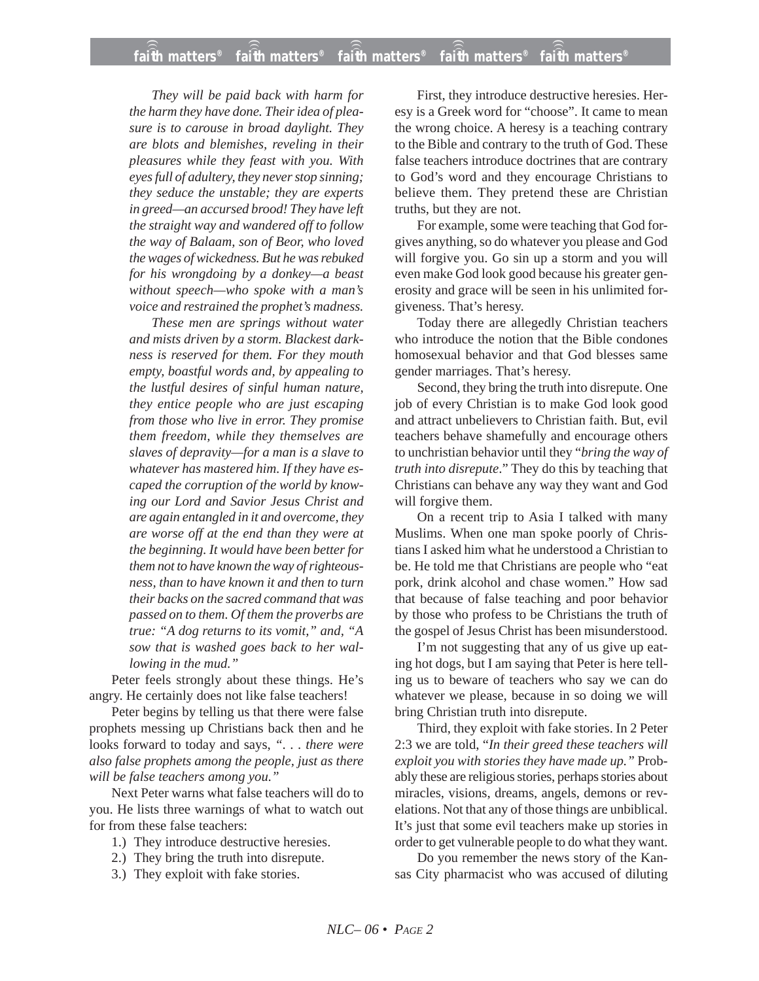*They will be paid back with harm for the harm they have done. Their idea of pleasure is to carouse in broad daylight. They are blots and blemishes, reveling in their pleasures while they feast with you. With eyes full of adultery, they never stop sinning; they seduce the unstable; they are experts in greed—an accursed brood! They have left the straight way and wandered off to follow the way of Balaam, son of Beor, who loved the wages of wickedness. But he was rebuked for his wrongdoing by a donkey—a beast without speech—who spoke with a man's voice and restrained the prophet's madness.*

*These men are springs without water and mists driven by a storm. Blackest darkness is reserved for them. For they mouth empty, boastful words and, by appealing to the lustful desires of sinful human nature, they entice people who are just escaping from those who live in error. They promise them freedom, while they themselves are slaves of depravity—for a man is a slave to whatever has mastered him. If they have escaped the corruption of the world by knowing our Lord and Savior Jesus Christ and are again entangled in it and overcome, they are worse off at the end than they were at the beginning. It would have been better for them not to have known the way of righteousness, than to have known it and then to turn their backs on the sacred command that was passed on to them. Of them the proverbs are true: "A dog returns to its vomit," and, "A sow that is washed goes back to her wallowing in the mud."*

Peter feels strongly about these things. He's angry. He certainly does not like false teachers!

Peter begins by telling us that there were false prophets messing up Christians back then and he looks forward to today and says, *". . . there were also false prophets among the people, just as there will be false teachers among you."*

Next Peter warns what false teachers will do to you. He lists three warnings of what to watch out for from these false teachers:

- 1.) They introduce destructive heresies.
- 2.) They bring the truth into disrepute.
- 3.) They exploit with fake stories.

First, they introduce destructive heresies. Heresy is a Greek word for "choose". It came to mean the wrong choice. A heresy is a teaching contrary to the Bible and contrary to the truth of God. These false teachers introduce doctrines that are contrary to God's word and they encourage Christians to believe them. They pretend these are Christian truths, but they are not.

For example, some were teaching that God forgives anything, so do whatever you please and God will forgive you. Go sin up a storm and you will even make God look good because his greater generosity and grace will be seen in his unlimited forgiveness. That's heresy.

Today there are allegedly Christian teachers who introduce the notion that the Bible condones homosexual behavior and that God blesses same gender marriages. That's heresy.

Second, they bring the truth into disrepute. One job of every Christian is to make God look good and attract unbelievers to Christian faith. But, evil teachers behave shamefully and encourage others to unchristian behavior until they "*bring the way of truth into disrepute*." They do this by teaching that Christians can behave any way they want and God will forgive them.

On a recent trip to Asia I talked with many Muslims. When one man spoke poorly of Christians I asked him what he understood a Christian to be. He told me that Christians are people who "eat pork, drink alcohol and chase women." How sad that because of false teaching and poor behavior by those who profess to be Christians the truth of the gospel of Jesus Christ has been misunderstood.

I'm not suggesting that any of us give up eating hot dogs, but I am saying that Peter is here telling us to beware of teachers who say we can do whatever we please, because in so doing we will bring Christian truth into disrepute.

Third, they exploit with fake stories. In 2 Peter 2:3 we are told, "*In their greed these teachers will exploit you with stories they have made up."* Probably these are religious stories, perhaps stories about miracles, visions, dreams, angels, demons or revelations. Not that any of those things are unbiblical. It's just that some evil teachers make up stories in order to get vulnerable people to do what they want.

Do you remember the news story of the Kansas City pharmacist who was accused of diluting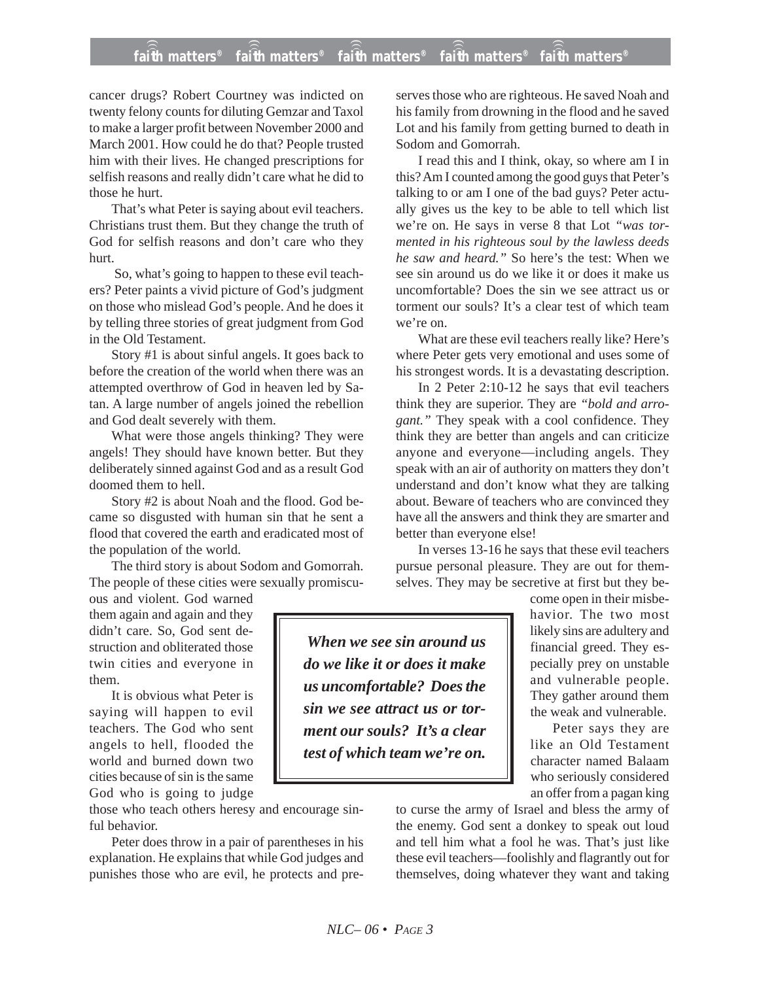## **faith matters® faith matters® faith matters® faith matters® faith matters®** ))) ))) ))) ))) )))

cancer drugs? Robert Courtney was indicted on twenty felony counts for diluting Gemzar and Taxol to make a larger profit between November 2000 and March 2001. How could he do that? People trusted him with their lives. He changed prescriptions for selfish reasons and really didn't care what he did to those he hurt.

That's what Peter is saying about evil teachers. Christians trust them. But they change the truth of God for selfish reasons and don't care who they hurt.

So, what's going to happen to these evil teachers? Peter paints a vivid picture of God's judgment on those who mislead God's people. And he does it by telling three stories of great judgment from God in the Old Testament.

Story #1 is about sinful angels. It goes back to before the creation of the world when there was an attempted overthrow of God in heaven led by Satan. A large number of angels joined the rebellion and God dealt severely with them.

What were those angels thinking? They were angels! They should have known better. But they deliberately sinned against God and as a result God doomed them to hell.

Story #2 is about Noah and the flood. God became so disgusted with human sin that he sent a flood that covered the earth and eradicated most of the population of the world.

The third story is about Sodom and Gomorrah. The people of these cities were sexually promiscu-

ous and violent. God warned them again and again and they didn't care. So, God sent destruction and obliterated those twin cities and everyone in them.

It is obvious what Peter is saying will happen to evil teachers. The God who sent angels to hell, flooded the world and burned down two cities because of sin is the same God who is going to judge

those who teach others heresy and encourage sinful behavior.

Peter does throw in a pair of parentheses in his explanation. He explains that while God judges and punishes those who are evil, he protects and preserves those who are righteous. He saved Noah and his family from drowning in the flood and he saved Lot and his family from getting burned to death in Sodom and Gomorrah.

I read this and I think, okay, so where am I in this? Am I counted among the good guys that Peter's talking to or am I one of the bad guys? Peter actually gives us the key to be able to tell which list we're on. He says in verse 8 that Lot *"was tormented in his righteous soul by the lawless deeds he saw and heard."* So here's the test: When we see sin around us do we like it or does it make us uncomfortable? Does the sin we see attract us or torment our souls? It's a clear test of which team we're on.

What are these evil teachers really like? Here's where Peter gets very emotional and uses some of his strongest words. It is a devastating description.

In 2 Peter 2:10-12 he says that evil teachers think they are superior. They are *"bold and arrogant."* They speak with a cool confidence. They think they are better than angels and can criticize anyone and everyone—including angels. They speak with an air of authority on matters they don't understand and don't know what they are talking about. Beware of teachers who are convinced they have all the answers and think they are smarter and better than everyone else!

In verses 13-16 he says that these evil teachers pursue personal pleasure. They are out for themselves. They may be secretive at first but they be-

*When we see sin around us do we like it or does it make us uncomfortable? Does the sin we see attract us or torment our souls? It's a clear test of which team we're on.*

come open in their misbehavior. The two most likely sins are adultery and financial greed. They especially prey on unstable and vulnerable people. They gather around them the weak and vulnerable.

Peter says they are like an Old Testament character named Balaam who seriously considered an offer from a pagan king

to curse the army of Israel and bless the army of the enemy. God sent a donkey to speak out loud and tell him what a fool he was. That's just like these evil teachers—foolishly and flagrantly out for themselves, doing whatever they want and taking